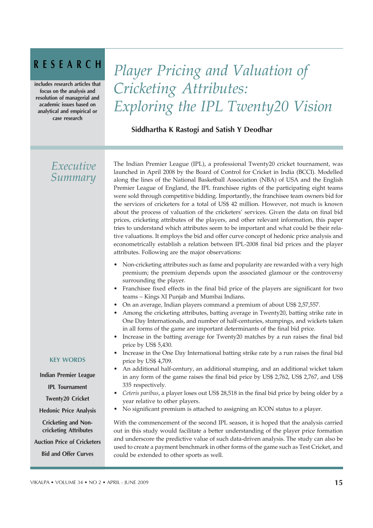# RESEARCH

includes research articles that focus on the analysis and resolution of managerial and academic issues based on analytical and empirical or case research

# *Player Pricing and Valuation of Cricketing Attributes: Exploring the IPL Twenty20 Vision*

Siddhartha K Rastogi and Satish Y Deodhar

# *Executive Summary*

The Indian Premier League (IPL), a professional Twenty20 cricket tournament, was launched in April 2008 by the Board of Control for Cricket in India (BCCI). Modelled along the lines of the National Basketball Association (NBA) of USA and the English Premier League of England, the IPL franchisee rights of the participating eight teams were sold through competitive bidding. Importantly, the franchisee team owners bid for the services of cricketers for a total of US\$ 42 million. However, not much is known about the process of valuation of the cricketers' services. Given the data on final bid prices, cricketing attributes of the players, and other relevant information, this paper tries to understand which attributes seem to be important and what could be their relative valuations. It employs the bid and offer curve concept of hedonic price analysis and econometrically establish a relation between IPL-2008 final bid prices and the player attributes. Following are the major observations:

- Non-cricketing attributes such as fame and popularity are rewarded with a very high premium; the premium depends upon the associated glamour or the controversy surrounding the player.
- Franchisee fixed effects in the final bid price of the players are significant for two teams – Kings XI Punjab and Mumbai Indians.
- On an average, Indian players command a premium of about US\$ 2,57,557.
- Among the cricketing attributes, batting average in Twenty20, batting strike rate in One Day Internationals, and number of half-centuries, stumpings, and wickets taken in all forms of the game are important determinants of the final bid price.
- Increase in the batting average for Twenty20 matches by a run raises the final bid price by US\$ 5,430.
- Increase in the One Day International batting strike rate by a run raises the final bid price by US\$ 4,709.
- An additional half-century, an additional stumping, and an additional wicket taken in any form of the game raises the final bid price by US\$ 2,762, US\$ 2,767, and US\$ 335 respectively.
- ï *Ceteris paribus*, a player loses out US\$ 28,518 in the final bid price by being older by a year relative to other players.
- No significant premium is attached to assigning an ICON status to a player.

With the commencement of the second IPL season, it is hoped that the analysis carried out in this study would facilitate a better understanding of the player price formation and underscore the predictive value of such data-driven analysis. The study can also be used to create a payment benchmark in other forms of the game such as Test Cricket, and could be extended to other sports as well.

# KEY WORDS

Indian Premier League

IPL Tournament

Twenty20 Cricket

Hedonic Price Analysis

Cricketing and Noncricketing Attributes

Auction Price of Cricketers

Bid and Offer Curves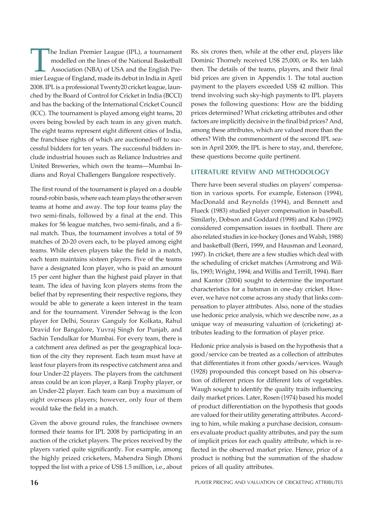The Indian Premier League (IPL), a tournament<br>modelled on the lines of the National Basketball<br>Association (NBA) of USA and the English Pre-<br>mier League of England, made its debut in India in April he Indian Premier League (IPL), a tournament modelled on the lines of the National Basketball Association (NBA) of USA and the English Pre-2008. IPL is a professional Twenty20 cricket league, launched by the Board of Control for Cricket in India (BCCI) and has the backing of the International Cricket Council (ICC). The tournament is played among eight teams, 20 overs being bowled by each team in any given match. The eight teams represent eight different cities of India, the franchisee rights of which are auctioned-off to successful bidders for ten years. The successful bidders include industrial houses such as Reliance Industries and United Breweries, which own the teams—Mumbai Indians and Royal Challengers Bangalore respectively.

The first round of the tournament is played on a double round-robin basis, where each team plays the other seven teams at home and away. The top four teams play the two semi-finals, followed by a final at the end. This makes for 56 league matches, two semi-finals, and a final match. Thus, the tournament involves a total of 59 matches of 20-20 overs each, to be played among eight teams. While eleven players take the field in a match, each team maintains sixteen players. Five of the teams have a designated Icon player, who is paid an amount 15 per cent higher than the highest paid player in that team. The idea of having Icon players stems from the belief that by representing their respective regions, they would be able to generate a keen interest in the team and for the tournament. Virender Sehwag is the Icon player for Delhi, Sourav Ganguly for Kolkata, Rahul Dravid for Bangalore, Yuvraj Singh for Punjab, and Sachin Tendulkar for Mumbai. For every team, there is a catchment area defined as per the geographical location of the city they represent. Each team must have at least four players from its respective catchment area and four Under-22 players. The players from the catchment areas could be an icon player, a Ranji Trophy player, or an Under-22 player. Each team can buy a maximum of eight overseas players; however, only four of them would take the field in a match.

Given the above ground rules, the franchisee owners formed their teams for IPL 2008 by participating in an auction of the cricket players. The prices received by the players varied quite significantly. For example, among the highly prized cricketers, Mahendra Singh Dhoni topped the list with a price of US\$ 1.5 million, i.e., about

Rs. six crores then, while at the other end, players like Dominic Thornely received US\$ 25,000, or Rs. ten lakh then. The details of the teams, players, and their final bid prices are given in Appendix 1. The total auction payment to the players exceeded US\$ 42 million. This trend involving such sky-high payments to IPL players poses the following questions: How are the bidding prices determined? What cricketing attributes and other factors are implicitly decisive in the final bid prices? And, among these attributes, which are valued more than the others? With the commencement of the second IPL season in April 2009, the IPL is here to stay, and, therefore, these questions become quite pertinent.

# LITERATURE REVIEW AND METHODOLOGY

There have been several studies on players' compensation in various sports. For example, Estenson (1994), MacDonald and Reynolds (1994), and Bennett and Flueck (1983) studied player compensation in baseball. Similarly, Dobson and Goddard (1998) and Kahn (1992) considered compensation issues in football. There are also related studies in ice-hockey (Jones and Walsh, 1988) and basketball (Berri, 1999, and Hausman and Leonard, 1997). In cricket, there are a few studies which deal with the scheduling of cricket matches (Armstrong and Willis, 1993; Wright, 1994; and Willis and Terrill, 1994). Barr and Kantor (2004) sought to determine the important characteristics for a batsman in one-day cricket. However, we have not come across any study that links compensation to player attributes. Also, none of the studies use hedonic price analysis, which we describe now, as a unique way of measuring valuation of (cricketing) attributes leading to the formation of player price.

Hedonic price analysis is based on the hypothesis that a good/service can be treated as a collection of attributes that differentiates it from other goods/services. Waugh (1928) propounded this concept based on his observation of different prices for different lots of vegetables. Waugh sought to identify the quality traits influencing daily market prices. Later, Rosen (1974) based his model of product differentiation on the hypothesis that goods are valued for their utility generating attributes. According to him, while making a purchase decision, consumers evaluate product quality attributes, and pay the sum of implicit prices for each quality attribute, which is reflected in the observed market price. Hence, price of a product is nothing but the summation of the shadow prices of all quality attributes.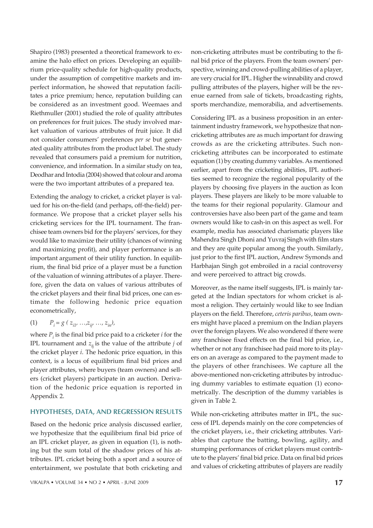Shapiro (1983) presented a theoretical framework to examine the halo effect on prices. Developing an equilibrium price-quality schedule for high-quality products, under the assumption of competitive markets and imperfect information, he showed that reputation facilitates a price premium; hence, reputation building can be considered as an investment good. Weemaes and Riethmuller (2001) studied the role of quality attributes on preferences for fruit juices. The study involved market valuation of various attributes of fruit juice. It did not consider consumers' preferences *per se* but generated quality attributes from the product label. The study revealed that consumers paid a premium for nutrition, convenience, and information. In a similar study on tea, Deodhar and Intodia (2004) showed that colour and aroma were the two important attributes of a prepared tea.

Extending the analogy to cricket, a cricket player is valued for his on-the-field (and perhaps, off-the-field) performance. We propose that a cricket player sells his cricketing services for the IPL tournament. The franchisee team owners bid for the players' services, for they would like to maximize their utility (chances of winning and maximizing profit), and player performance is an important argument of their utility function. In equilibrium, the final bid price of a player must be a function of the valuation of winning attributes of a player. Therefore, given the data on values of various attributes of the cricket players and their final bid prices, one can estimate the following hedonic price equation econometrically,

# (1)  $P_i = g(z_{i1}, \ldots, z_{ii}, \ldots, z_{in}),$

where *P<sup>i</sup>* is the final bid price paid to a cricketer *i* for the IPL tournament and  $z_{ij}$  is the value of the attribute  $j$  of the cricket player *i*. The hedonic price equation, in this context, is a locus of equilibrium final bid prices and player attributes, where buyers (team owners) and sellers (cricket players) participate in an auction. Derivation of the hedonic price equation is reported in Appendix 2.

# HYPOTHESES, DATA, AND REGRESSION RESULTS

Based on the hedonic price analysis discussed earlier, we hypothesize that the equilibrium final bid price of an IPL cricket player, as given in equation (1), is nothing but the sum total of the shadow prices of his attributes. IPL cricket being both a sport and a source of entertainment, we postulate that both cricketing and non-cricketing attributes must be contributing to the final bid price of the players. From the team owners' perspective, winning and crowd-pulling abilities of a player, are very crucial for IPL. Higher the winnability and crowd pulling attributes of the players, higher will be the revenue earned from sale of tickets, broadcasting rights, sports merchandize, memorabilia, and advertisements.

Considering IPL as a business proposition in an entertainment industry framework, we hypothesize that noncricketing attributes are as much important for drawing crowds as are the cricketing attributes. Such noncricketing attributes can be incorporated to estimate equation (1) by creating dummy variables. As mentioned earlier, apart from the cricketing abilities, IPL authorities seemed to recognize the regional popularity of the players by choosing five players in the auction as Icon players. These players are likely to be more valuable to the teams for their regional popularity. Glamour and controversies have also been part of the game and team owners would like to cash-in on this aspect as well. For example, media has associated charismatic players like Mahendra Singh Dhoni and Yuvraj Singh with film stars and they are quite popular among the youth. Similarly, just prior to the first IPL auction, Andrew Symonds and Harbhajan Singh got embroiled in a racial controversy and were perceived to attract big crowds.

Moreover, as the name itself suggests, IPL is mainly targeted at the Indian spectators for whom cricket is almost a religion. They certainly would like to see Indian players on the field. Therefore, *ceteris paribus*, team owners might have placed a premium on the Indian players over the foreign players. We also wondered if there were any franchisee fixed effects on the final bid price, i.e., whether or not any franchisee had paid more to its players on an average as compared to the payment made to the players of other franchisees. We capture all the above-mentioned non-cricketing attributes by introducing dummy variables to estimate equation (1) econometrically. The description of the dummy variables is given in Table 2.

While non-cricketing attributes matter in IPL, the success of IPL depends mainly on the core competencies of the cricket players, i.e., their cricketing attributes. Variables that capture the batting, bowling, agility, and stumping performances of cricket players must contribute to the players' final bid price. Data on final bid prices and values of cricketing attributes of players are readily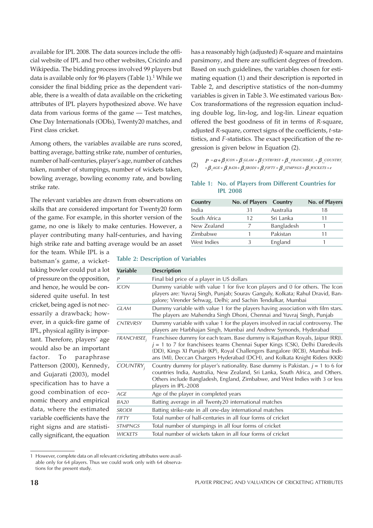available for IPL 2008. The data sources include the official website of IPL and two other websites, Cricinfo and Wikipedia. The bidding process involved 99 players but data is available only for 96 players (Table 1).<sup>1</sup> While we consider the final bidding price as the dependent variable, there is a wealth of data available on the cricketing attributes of IPL players hypothesized above. We have data from various forms of the game — Test matches, One Day Internationals (ODIs), Twenty20 matches, and First class cricket.

Among others, the variables available are runs scored, batting average, batting strike rate, number of centuries, number of half-centuries, player's age, number of catches taken, number of stumpings, number of wickets taken, bowling average, bowling economy rate, and bowling strike rate.

The relevant variables are drawn from observations on skills that are considered important for Twenty20 form of the game. For example, in this shorter version of the game, no one is likely to make centuries. However, a player contributing many half-centuries, and having high strike rate and batting average would be an asset has a reasonably high (adjusted) *R*-square and maintains parsimony, and there are sufficient degrees of freedom. Based on such guidelines, the variables chosen for estimating equation (1) and their description is reported in Table 2, and descriptive statistics of the non-dummy variables is given in Table 3. We estimated various Box-Cox transformations of the regression equation including double log, lin-log, and log-lin. Linear equation offered the best goodness of fit in terms of *R-*square, adjusted *R-*square, correct signs of the coefficients, *t-*statistics, and *F-*statistics. The exact specification of the regression is given below in Equation (2).

(2)  $+ \beta_{s} AGE + \beta_{s} BAB + \beta_{s} SRODI + \beta_{s} FIFTY + \beta_{u} SIMPNGS + \beta_{u} WICKETS + \epsilon_{u}$  $P = \alpha + \beta_{\frac{1}{2}}$ CON +  $\beta_{\frac{1}{2}}$ GLAM +  $\beta_{\frac{1}{3}}$ CNTRVRSY +  $\beta_{\frac{1}{4}}$ FRANCHISEE<sub>j</sub> +  $\beta_{\frac{1}{5}}$ COUNTRY<sub>j</sub>

#### Table 1: No. of Players from Different Countries for IPL 2008

| Country      | No. of Players Country |            | No. of Players |
|--------------|------------------------|------------|----------------|
| India        | 31                     | Australia  | 18             |
| South Africa | 12                     | Sri Lanka  |                |
| New Zealand  |                        | Bangladesh |                |
| Zimbabwe     |                        | Pakistan   |                |
| West Indies  |                        | England    |                |

for the team. While IPL is a batsman's game, a wickettaking bowler could put a lot of pressure on the opposition, and hence, he would be considered quite useful. In test cricket, being aged is not necessarily a drawback; however, in a quick-fire game of IPL, physical agility is important. Therefore, players' age would also be an important factor. To paraphrase Patterson (2000), Kennedy, and Gujarati (2003), model specification has to have a good combination of economic theory and empirical data, where the estimated variable coefficients have the right signs and are statistically significant, the equation

#### Table 2: Description of Variables

| <b>Description</b>                                                                                                                                                                                                                                                                                                           |
|------------------------------------------------------------------------------------------------------------------------------------------------------------------------------------------------------------------------------------------------------------------------------------------------------------------------------|
| Final bid price of a player in US dollars                                                                                                                                                                                                                                                                                    |
| Dummy variable with value 1 for five Icon players and 0 for others. The Icon<br>players are: Yuvraj Singh, Punjab; Sourav Ganguly, Kolkata; Rahul Dravid, Ban-<br>galore; Virender Sehwag, Delhi; and Sachin Tendulkar, Mumbai                                                                                               |
| Dummy variable with value 1 for the players having association with film stars.<br>The players are Mahendra Singh Dhoni, Chennai and Yuvraj Singh, Punjab                                                                                                                                                                    |
| Dummy variable with value 1 for the players involved in racial controversy. The<br>players are Harbhajan Singh, Mumbai and Andrew Symonds, Hyderabad                                                                                                                                                                         |
| Franchisee dummy for each team. Base dummy is Rajasthan Royals, Jaipur (RRJ).<br>$j = 1$ to 7 for franchisees teams Chennai Super Kings (CSK), Delhi Daredevils<br>(DD), Kings XI Punjab (KP), Royal Challengers Bangalore (RCB), Mumbai Indi-<br>ans (MI), Deccan Chargers Hyderabad (DCH), and Kolkata Knight Riders (KKR) |
| Country dummy for player's nationality. Base dummy is Pakistan. $j = 1$ to 6 for<br>countries India, Australia, New Zealand, Sri Lanka, South Africa, and Others.<br>Others include Bangladesh, England, Zimbabwe, and West Indies with 3 or less<br>players in IPL-2008                                                     |
| Age of the player in completed years                                                                                                                                                                                                                                                                                         |
| Batting average in all Twenty20 international matches                                                                                                                                                                                                                                                                        |
| Batting strike-rate in all one-day international matches                                                                                                                                                                                                                                                                     |
| Total number of half-centuries in all four forms of cricket                                                                                                                                                                                                                                                                  |
| Total number of stumpings in all four forms of cricket                                                                                                                                                                                                                                                                       |
| Total number of wickets taken in all four forms of cricket                                                                                                                                                                                                                                                                   |
|                                                                                                                                                                                                                                                                                                                              |

<sup>1</sup> However, complete data on all relevant cricketing attributes were available only for 64 players. Thus we could work only with 64 observations for the present study.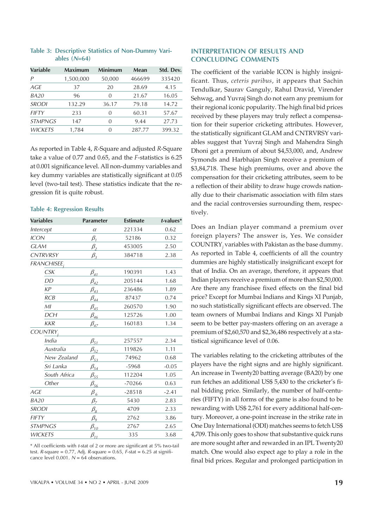| <b>Variable</b> | <b>Maximum</b> | <b>Minimum</b>   | Mean   | Std. Dev. |
|-----------------|----------------|------------------|--------|-----------|
| Ρ               | 1,500,000      | 50,000           | 466699 | 335420    |
| AGE             | 37             | 20               | 28.69  | 4.15      |
| <b>BA20</b>     | 96             | $\left($         | 21.67  | 16.05     |
| <b>SRODI</b>    | 132.29         | 36.17            | 79.18  | 14.72     |
| <b>FIFTY</b>    | 233            | 0                | 60.31  | 57.67     |
| <b>STMPNGS</b>  | 147            | O                | 9.44   | 27.73     |
| <b>WICKETS</b>  | 1,784          | $\left( \right)$ | 287.77 | 399.32    |

#### Table 3: Descriptive Statistics of Non-Dummy Variables  $(N=64)$

As reported in Table 4, *R*-Square and adjusted *R*-Square take a value of 0.77 and 0.65, and the *F*-statistics is 6.25 at 0.001 significance level. All non-dummy variables and key dummy variables are statistically significant at 0.05 level (two-tail test). These statistics indicate that the regression fit is quite robust.

#### Table 4: Regression Results

| <b>Variables</b> | <b>Parameter</b>                                         | <b>Estimate</b> | t-values* |
|------------------|----------------------------------------------------------|-----------------|-----------|
| Intercept        | $\alpha$                                                 | 221334          | 0.62      |
| <b>ICON</b>      | $\beta_{_1}$                                             | 52186           | 0.32      |
| <b>GLAM</b>      | $\beta_{2}$                                              | 453005          | 2.50      |
| <b>CNTRVRSY</b>  | $\beta_{3}$                                              | 384718          | 2.38      |
| FRANCHISEE;      |                                                          |                 |           |
| CSK              | $\beta_{41}$                                             | 190391          | 1.43      |
| DD               | $\beta_{42}$                                             | 205144          | 1.68      |
| KP               | $\beta_{43}$                                             | 236486          | 1.89      |
| RCB              | $\beta_{44}$                                             | 87437           | 0.74      |
| MI               | $\frac{\beta_{45}}{2}$                                   | 260570          | 1.90      |
| DCH              | $\beta_{46}$                                             | 125726          | 1.00      |
| <b>KKR</b>       | $\beta_{47}$                                             | 160183          | 1.34      |
| COUNTRY,         |                                                          |                 |           |
| India            | $\beta_{\underline{51}}$                                 | 257557          | 2.34      |
| Australia        | $\beta_{52}$                                             | 119826          | 1.11      |
| New Zealand      | $\beta_{53}$                                             | 74962           | 0.68      |
| Sri Lanka        | $\beta_{54}$                                             | $-5968$         | $-0.05$   |
| South Africa     | $\beta_{55}$                                             | 112204          | 1.05      |
| Other            | $\underline{\beta_{56}}$                                 | $-70266$        | 0.63      |
| AGE              | $\frac{\beta}{6}$                                        | $-28518$        | $-2.41$   |
| <b>BA20</b>      | $\beta_{7}$                                              | 5430            | 2.83      |
| <b>SRODI</b>     | $\beta_{8}$                                              | 4709            | 2.33      |
| <b>FIFTY</b>     | $\beta_{9}$                                              | 2762            | 3.86      |
| <b>STMPNGS</b>   | $\beta_{10}$                                             | 2767            | 2.65      |
| <b>WICKETS</b>   | $\beta_{\underline{\mathcal{1}}\underline{\mathcal{1}}}$ | 335             | 3.68      |

\* All coefficients with t-stat of 2 or more are significant at 5% two-tail test.  $R$ -square = 0.77, Adj.  $R$ -square = 0.65,  $F$ -stat = 6.25 at significance level 0.001.  $N = 64$  observations.

# INTERPRETATION OF RESULTS AND CONCLUDING COMMENTS

The coefficient of the variable ICON is highly insignificant. Thus, *ceteris paribus*, it appears that Sachin Tendulkar, Saurav Ganguly, Rahul Dravid, Virender Sehwag, and Yuvraj Singh do not earn any premium for their regional iconic popularity. The high final bid prices received by these players may truly reflect a compensation for their superior cricketing attributes. However, the statistically significant GLAM and CNTRVRSY variables suggest that Yuvraj Singh and Mahendra Singh Dhoni get a premium of about \$4,53,000, and, Andrew Symonds and Harbhajan Singh receive a premium of \$3,84,718. These high premiums, over and above the compensation for their cricketing attributes, seem to be a reflection of their ability to draw huge crowds nationally due to their charismatic association with film stars and the racial controversies surrounding them, respectively.

Does an Indian player command a premium over foreign players? The answer is, Yes. We consider  $\mathrm{COUNTRY}_j$  variables with Pakistan as the base dummy. As reported in Table 4, coefficients of all the country dummies are highly statistically insignificant except for that of India. On an average, therefore, it appears that Indian players receive a premium of more than \$2,50,000. Are there any franchisee fixed effects on the final bid price? Except for Mumbai Indians and Kings XI Punjab, no such statistically significant effects are observed. The team owners of Mumbai Indians and Kings XI Punjab seem to be better pay-masters offering on an average a premium of \$2,60,570 and \$2,36,486 respectively at a statistical significance level of 0.06.

The variables relating to the cricketing attributes of the players have the right signs and are highly significant. An increase in Twenty20 batting average (BA20) by one run fetches an additional US\$ 5,430 to the cricketer's final bidding price. Similarly, the number of half-centuries (FIFTY) in all forms of the game is also found to be rewarding with US\$ 2,761 for every additional half-century. Moreover, a one-point increase in the strike rate in One Day International (ODI) matches seems to fetch US\$ 4,709. This only goes to show that substantive quick runs are more sought after and rewarded in an IPL Twenty20 match. One would also expect age to play a role in the final bid prices. Regular and prolonged participation in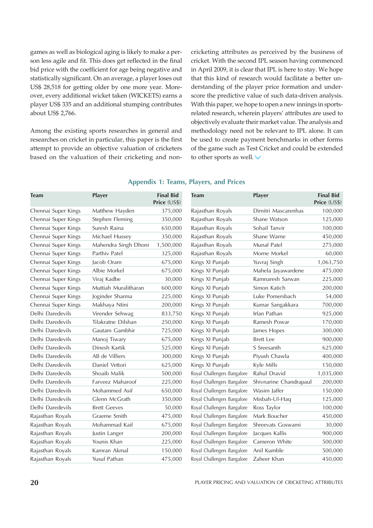games as well as biological aging is likely to make a person less agile and fit. This does get reflected in the final bid price with the coefficient for age being negative and statistically significant. On an average, a player loses out US\$ 28,518 for getting older by one more year. Moreover, every additional wicket taken (WICKETS) earns a player US\$ 335 and an additional stumping contributes about US\$ 2,766.

Among the existing sports researches in general and researches on cricket in particular, this paper is the first attempt to provide an objective valuation of cricketers based on the valuation of their cricketing and noncricketing attributes as perceived by the business of cricket. With the second IPL season having commenced in April 2009, it is clear that IPL is here to stay. We hope that this kind of research would facilitate a better understanding of the player price formation and underscore the predictive value of such data-driven analysis. With this paper, we hope to open a new innings in sportsrelated research, wherein players' attributes are used to objectively evaluate their market value. The analysis and methodology need not be relevant to IPL alone. It can be used to create payment benchmarks in other forms of the game such as Test Cricket and could be extended to other sports as well.

| <b>Team</b>         | Player               | <b>Final Bid</b><br>Price (US\$) | Team                        | Player                 | <b>Final Bid</b><br>Price (US\$) |
|---------------------|----------------------|----------------------------------|-----------------------------|------------------------|----------------------------------|
| Chennai Super Kings | Matthew Hayden       | 375,000                          | Rajasthan Royals            | Dimitri Mascarenhas    | 100,000                          |
| Chennai Super Kings | Stephen Fleming      | 350,000                          | Rajasthan Royals            | Shane Watson           | 125,000                          |
| Chennai Super Kings | Suresh Raina         | 650,000                          | Rajasthan Royals            | Sohail Tanvir          | 100,000                          |
| Chennai Super Kings | Michael Hussey       | 350,000                          | Rajasthan Royals            | Shane Warne            | 450,000                          |
| Chennai Super Kings | Mahendra Singh Dhoni | 1,500,000                        | Rajasthan Royals            | Munaf Patel            | 275,000                          |
| Chennai Super Kings | Parthiv Patel        | 325,000                          | Rajasthan Royals            | Morne Morkel           | 60,000                           |
| Chennai Super Kings | Jacob Oram           | 675,000                          | Kings XI Punjab             | Yuvraj Singh           | 1,063,750                        |
| Chennai Super Kings | Albie Morkel         | 675,000                          | Kings XI Punjab             | Mahela Jayawardene     | 475,000                          |
| Chennai Super Kings | Viraj Kadbe          | 30,000                           | Kings XI Punjab             | Ramnaresh Sarwan       | 225,000                          |
| Chennai Super Kings | Muttiah Muralitharan | 600,000                          | Kings XI Punjab             | Simon Katich           | 200,000                          |
| Chennai Super Kings | Joginder Sharma      | 225,000                          | Kings XI Punjab             | Luke Pomersbach        | 54,000                           |
| Chennai Super Kings | Makhaya Ntini        | 200,000                          | Kings XI Punjab             | Kumar Sangakkara       | 700,000                          |
| Delhi Daredevils    | Virender Sehwag      | 833,750                          | Kings XI Punjab             | Irfan Pathan           | 925,000                          |
| Delhi Daredevils    | Tilakratne Dilshan   | 250,000                          | Kings XI Punjab             | Ramesh Powar           | 170,000                          |
| Delhi Daredevils    | Gautam Gambhir       | 725,000                          | Kings XI Punjab             | James Hopes            | 300,000                          |
| Delhi Daredevils    | Manoj Tiwary         | 675,000                          | Kings XI Punjab             | <b>Brett Lee</b>       | 900,000                          |
| Delhi Daredevils    | Dinesh Kartik        | 525,000                          | Kings XI Punjab             | S Sreesanth            | 625,000                          |
| Delhi Daredevils    | AB de Villiers       | 300,000                          | Kings XI Punjab             | Piyush Chawla          | 400,000                          |
| Delhi Daredevils    | Daniel Vettori       | 625,000                          | Kings XI Punjab             | Kyle Mills             | 150,000                          |
| Delhi Daredevils    | Shoaib Malik         | 500,000                          | Royal Challengers Bangalore | Rahul Dravid           | 1,035,000                        |
| Delhi Daredevils    | Farveez Maharoof     | 225,000                          | Royal Challengers Bangalore | Shivnarine Chandrapaul | 200,000                          |
| Delhi Daredevils    | Mohammed Asif        | 650,000                          | Royal Challengers Bangalore | Wasim Jaffer           | 150,000                          |
| Delhi Daredevils    | Glenn McGrath        | 350,000                          | Royal Challengers Bangalore | Misbah-Ul-Haq          | 125,000                          |
| Delhi Daredevils    | <b>Brett Geeves</b>  | 50,000                           | Royal Challengers Bangalore | Ross Taylor            | 100,000                          |
| Rajasthan Royals    | Graeme Smith         | 475,000                          | Royal Challengers Bangalore | Mark Boucher           | 450,000                          |
| Rajasthan Royals    | Mohammad Kaif        | 675,000                          | Royal Challengers Bangalore | Shreevats Goswami      | 30,000                           |
| Rajasthan Royals    | Justin Langer        | 200,000                          | Royal Challengers Bangalore | Jacques Kallis         | 900,000                          |
| Rajasthan Royals    | Younis Khan          | 225,000                          | Royal Challengers Bangalore | Cameron White          | 500,000                          |
| Rajasthan Royals    | Kamran Akmal         | 150,000                          | Royal Challengers Bangalore | Anil Kumble            | 500,000                          |
| Rajasthan Royals    | Yusuf Pathan         | 475,000                          | Royal Challengers Bangalore | Zaheer Khan            | 450,000                          |

# Appendix 1: Teams, Players, and Prices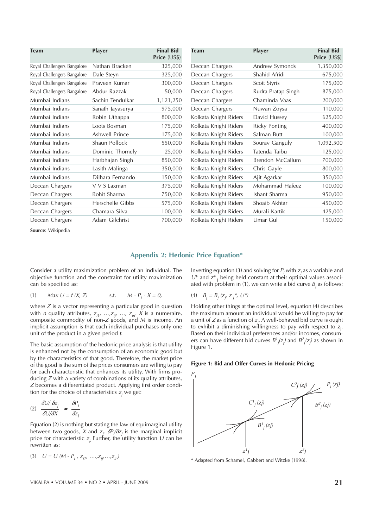| <b>Team</b>                 | <b>Player</b>    | <b>Final Bid</b><br>Price $(US$)$ | <b>Team</b>           | <b>Player</b>        | <b>Final Bid</b><br>Price $(US$)$ |
|-----------------------------|------------------|-----------------------------------|-----------------------|----------------------|-----------------------------------|
| Royal Challengers Bangalore | Nathan Bracken   | 325,000                           | Deccan Chargers       | Andrew Symonds       | 1,350,000                         |
| Royal Challengers Bangalore | Dale Steyn       | 325,000                           | Deccan Chargers       | Shahid Afridi        | 675,000                           |
| Royal Challengers Bangalore | Praveen Kumar    | 300,000                           | Deccan Chargers       | Scott Styris         | 175,000                           |
| Royal Challengers Bangalore | Abdur Razzak     | 50,000                            | Deccan Chargers       | Rudra Pratap Singh   | 875,000                           |
| Mumbai Indians              | Sachin Tendulkar | 1,121,250                         | Deccan Chargers       | Chaminda Vaas        | 200,000                           |
| Mumbai Indians              | Sanath Jayasurya | 975,000                           | Deccan Chargers       | Nuwan Zoysa          | 110,000                           |
| Mumbai Indians              | Robin Uthappa    | 800,000                           | Kolkata Knight Riders | David Hussey         | 625,000                           |
| Mumbai Indians              | Loots Bosman     | 175,000                           | Kolkata Knight Riders | <b>Ricky Ponting</b> | 400,000                           |
| Mumbai Indians              | Ashwell Prince   | 175,000                           | Kolkata Knight Riders | Salman Butt          | 100,000                           |
| Mumbai Indians              | Shaun Pollock    | 550,000                           | Kolkata Knight Riders | Sourav Ganguly       | 1,092,500                         |
| Mumbai Indians              | Dominic Thornely | 25,000                            | Kolkata Knight Riders | Tatenda Taibu        | 125,000                           |
| Mumbai Indians              | Harbhajan Singh  | 850,000                           | Kolkata Knight Riders | Brendon McCallum     | 700,000                           |
| Mumbai Indians              | Lasith Malinga   | 350,000                           | Kolkata Knight Riders | Chris Gayle          | 800,000                           |
| Mumbai Indians              | Dilhara Fernando | 150,000                           | Kolkata Knight Riders | Ajit Agarkar         | 350,000                           |
| Deccan Chargers             | V V S Laxman     | 375,000                           | Kolkata Knight Riders | Mohammad Hafeez      | 100,000                           |
| Deccan Chargers             | Rohit Sharma     | 750,000                           | Kolkata Knight Riders | Ishant Sharma        | 950,000                           |
| Deccan Chargers             | Herschelle Gibbs | 575,000                           | Kolkata Knight Riders | Shoaib Akhtar        | 450,000                           |
| Deccan Chargers             | Chamara Silva    | 100,000                           | Kolkata Knight Riders | Murali Kartik        | 425,000                           |
| Deccan Chargers             | Adam Gilchrist   | 700,000                           | Kolkata Knight Riders | Umar Gul             | 150,000                           |

Source: Wikipedia

#### Appendix 2: Hedonic Price Equation\*

Consider a utility maximization problem of an individual. The objective function and the constraint for utility maximization can be specified as:

(1) Max 
$$
U = f(X, Z)
$$
 s.t.  $M - P_i - X = 0$ ,

where *Z* is a vector representing a particular good in question with *n* quality attributes,  $z_{i1}, \ldots, z_{i j}, \ldots, z_{i n}$ . *X* is a numeraire, composite commodity of non-Z goods, and  $M$  is income. An implicit assumption is that each individual purchases only one unit of the product in a given period  $t$ .

The basic assumption of the hedonic price analysis is that utility is enhanced not by the consumption of an economic good but by the characteristics of that good. Therefore, the market price of the good is the sum of the prices consumers are willing to pay for each characteristic that enhances its utility. With firms producing Z with a variety of combinations of its quality attributes, Z becomes a differentiated product. Applying first order condition for the choice of characteristics  $z_i$  we get:

$$
(2) \frac{\delta U/\delta z_j}{\delta U/\delta X} = \frac{\delta P_i}{\delta z_j}
$$

Equation (2) is nothing but stating the law of equimarginal utility between two goods, X and  $z_j$ .  $\delta P/\delta z_j$  is the marginal implicit price for characteristic  $z_{j.}^{\phantom{\dag}}$  Further, the utility function  $\,\overline{U}$  can be rewritten as:

(3) 
$$
U = U (M - P_i, z_{i1}, \ldots, z_{ij}, \ldots, z_{in})
$$

Inverting equation (3) and solving for  $P_i$  with  $z_j$  as a variable and  $U^*$  and  $z^*$ , being held constant at their optimal values associated with problem in (1), we can write a bid curve  $B_j$  as follows:

(4) 
$$
B_j = B_j (z_j, z_j, U^*)
$$

Holding other things at the optimal level, equation (4) describes the maximum amount an individual would be willing to pay for a unit of Z as a function of  $z_j$ . A well-behaved bid curve is ought to exhibit a diminishing willingness to pay with respect to z<sub>j</sub>. Based on their individual preferences and/or incomes, consumers can have different bid curves  $B^1_{j}(z_j)$  and  $B^2_{j}(z_j)$  as shown in Figure 1.





\* Adapted from Schamel, Gabbert and Witzke (1998).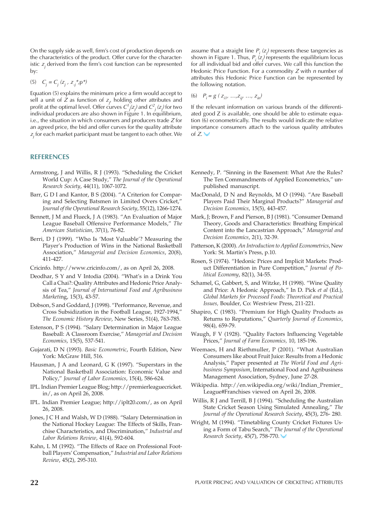On the supply side as well, firm's cost of production depends on the characteristics of the product. Offer curve for the characteristic z<sub>j</sub> derived from the firm's cost function can be represented by:

(5) 
$$
C_j = C_j (z_j, z_j^*, p^*)
$$

Equation (5) explains the minimum price a firm would accept to sell a unit of Z as function of  $z_j$  holding other attributes and profit at the optimal level. Offer curves  $C^1_j(z_j)$  and  $C^2_j(z_j)$  for two individual producers are also shown in Figure 1. In equilibrium, i.e., the situation in which consumers and producers trade Z for an agreed price, the bid and offer curves for the quality attribute  $z_{\overline{j}}$  for each market participant must be tangent to each other. We

#### **REFERENCES**

- Armstrong, J and Willis, R J (1993). "Scheduling the Cricket World Cup: A Case Study," *The Journal of the Operational Research Society*, 44(11), 1067-1072.
- Barr, G D I and Kantor, B S (2004). "A Criterion for Comparing and Selecting Batsmen in Limited Overs Cricket," *Journal of the Operational Research Society*, 55(12), 1266-1274.
- Bennett, J M and Flueck, J A (1983). "An Evaluation of Major League Baseball Offensive Performance Models," *The American Statistician*, 37(1), 76-82.
- Berri, D J (1999). "Who Is 'Most Valuable'? Measuring the Player's Production of Wins in the National Basketball Association," *Managerial and Decision Economics*, 20(8), 411-427.
- Cricinfo. http://www.cricinfo.com/, as on April 26, 2008.
- Deodhar, S Y and V Intodia (2004). "What's in a Drink You Call a Chai?: Quality Attributes and Hedonic Price Analysis of Tea," *Journal of International Food and Agribusiness Marketi*ng, 15(3), 43-57.
- Dobson, S and Goddard, J (1998). "Performance, Revenue, and Cross Subsidization in the Football League, 1927-1994," *The Economic History Review*, New Series, 51(4), 763-785.
- Estenson, P S (1994). "Salary Determination in Major League Baseball: A Classroom Exercise," *Managerial and Decision Economics*, 15(5), 537-541.
- Gujarati, D N (1993). *Basic Econometric*, Fourth Edition, New York: McGraw Hill, 516.
- Hausman, J A and Leonard, G K (1997). "Superstars in the National Basketball Association: Economic Value and Policy," *Journal of Labor Economics*, 15(4), 586-624.
- IPL. Indian Premier League Blog; http://premierleaguecricket. in/, as on April 26, 2008.
- IPL. Indian Premier League; http://iplt20.com/, as on April 26, 2008.
- Jones, J C H and Walsh, W D (1988). "Salary Determination in the National Hockey League: The Effects of Skills, Franchise Characteristics, and Discrimination," *Industrial and Labor Relations Review*, 41(4), 592-604.
- Kahn, L M (1992). "The Effects of Race on Professional Football Players' Compensation," *Industrial and Labor Relations Review*, 45(2), 295-310.

assume that a straight line  $P_i(z)$  represents these tangencies as shown in Figure 1. Thus,  $P_i(z)$  represents the equilibrium locus for all individual bid and offer curves. We call this function the Hedonic Price Function. For a commodity  $Z$  with  $n$  number of attributes this Hedonic Price Function can be represented by the following notation.

(6) 
$$
P_i = g(z_{i1}, ..., z_{ij}, ..., z_{in})
$$

If the relevant information on various brands of the differentiated good Z is available, one should be able to estimate equation (6) econometrically. The results would indicate the relative importance consumers attach to the various quality attributes of  $Z$ .  $\vee$ 

- Kennedy, P. "Sinning in the Basement: What Are the Rules? The Ten Commandments of Applied Econometrics," unpublished manuscript.
- MacDonald, D N and Reynolds, M O (1994). "Are Baseball Players Paid Their Marginal Products?" *Managerial and Decision Economics*, 15(5), 443-457.
- Mark, J; Brown, F and Pierson, B J (1981). "Consumer Demand Theory, Goods and Characteristics: Breathing Empirical Content into the Lancastrian Approach," *Managerial and Decision Economics*, 2(1), 32-39.
- Patterson, K (2000). *An Introduction to Applied Econometrics*, New York: St. Martin's Press, p.10.
- Rosen, S (1974). "Hedonic Prices and Implicit Markets: Product Differentiation in Pure Competition," *Journal of Political Economy*, 82(1), 34-55.
- Schamel, G, Gabbert, S, and Witzke, H (1998). "Wine Quality and Price: A Hedonic Approach," In D. Pick *et al* (Ed.), *Global Markets for Processed Foods: Theoretical and Practical Issues,* Boulder, Co: Westview Press, 211-221.
- Shapiro, C (1983). "Premium for High Quality Products as Returns to Reputations," *Quarterly Journal of Economics*, 98(4), 659-79.
- Waugh, F V (1928). "Quality Factors Influencing Vegetable Prices," *Journal of Farm Economics,* 10, 185-196.
- Weemaes, H and Riethmuller, P (2001). "What Australian Consumers like about Fruit Juice: Results from a Hedonic Analysis," Paper presented at *The World Food and Agribusiness Symposium*, International Food and Agribusiness Management Association, Sydney, June 27-28.
- Wikipedia. http://en.wikipedia.org/wiki/Indian\_Premier\_ League#Franchises viewed on April 26, 2008.
- Willis, R J and Terrill, B J (1994). "Scheduling the Australian State Cricket Season Using Simulated Annealing," *The Journal of the Operational Research Society*, 45(3), 276- 280.
- Wright, M (1994). "Timetabling County Cricket Fixtures Using a Form of Tabu Search," *The Journal of the Operational Research Society*, 45(7), 758-770.